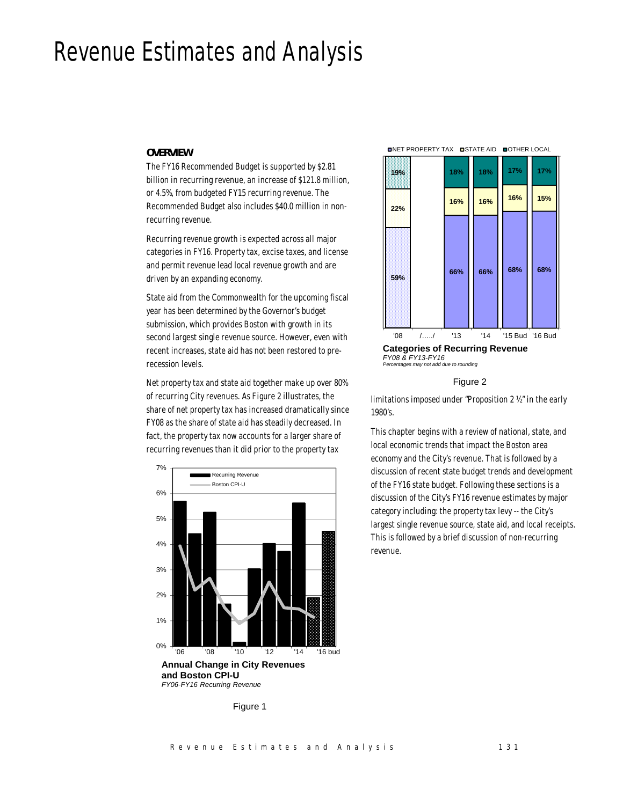# Revenue Estimates and Analysis

## *OVERVIEW*

The FY16 Recommended Budget is supported by \$2.81 billion in recurring revenue, an increase of \$121.8 million, or 4.5%, from budgeted FY15 recurring revenue. The Recommended Budget also includes \$40.0 million in nonrecurring revenue.

Recurring revenue growth is expected across all major categories in FY16. Property tax, excise taxes, and license and permit revenue lead local revenue growth and are driven by an expanding economy.

State aid from the Commonwealth for the upcoming fiscal year has been determined by the Governor's budget submission, which provides Boston with growth in its second largest single revenue source. However, even with recent increases, state aid has not been restored to prerecession levels.

Net property tax and state aid together make up over 80% of recurring City revenues. As Figure 2 illustrates, the share of net property tax has increased dramatically since FY08 as the share of state aid has steadily decreased. In fact, the property tax now accounts for a larger share of recurring revenues than it did prior to the property tax





Figure 2

limitations imposed under "Proposition 2 ½" in the early 1980's.

This chapter begins with a review of national, state, and local economic trends that impact the Boston area economy and the City's revenue. That is followed by a discussion of recent state budget trends and development of the FY16 state budget. Following these sections is a discussion of the City's FY16 revenue estimates by major category including: the property tax levy -- the City's largest single revenue source, state aid, and local receipts. This is followed by a brief discussion of non-recurring revenue.

Figure 1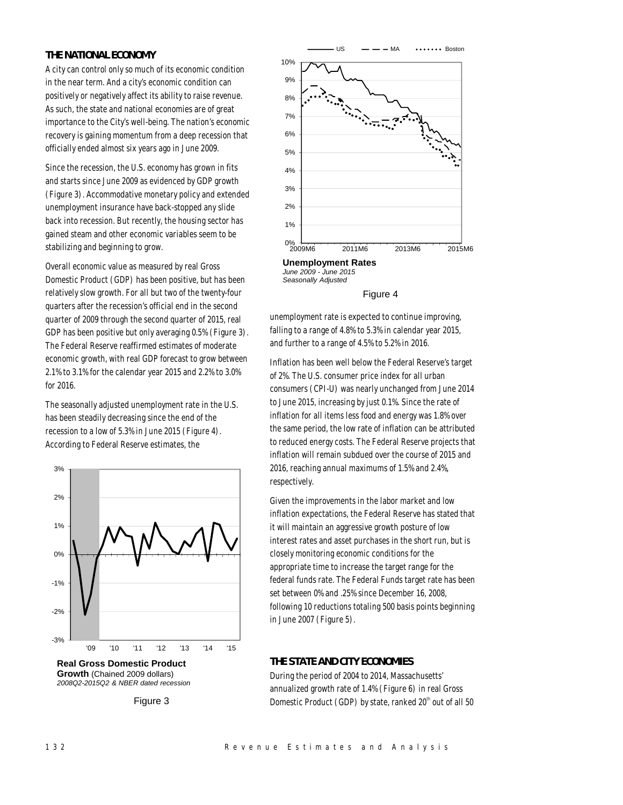## *THE NATIONAL ECONOMY*

A city can control only so much of its economic condition in the near term. And a city's economic condition can positively or negatively affect its ability to raise revenue. As such, the state and national economies are of great importance to the City's well-being. The nation's economic recovery is gaining momentum from a deep recession that officially ended almost six years ago in June 2009.

Since the recession, the U.S. economy has grown in fits and starts since June 2009 as evidenced by GDP growth (Figure 3). Accommodative monetary policy and extended unemployment insurance have back-stopped any slide back into recession. But recently, the housing sector has gained steam and other economic variables seem to be stabilizing and beginning to grow.

Overall economic value as measured by real Gross Domestic Product (GDP) has been positive, but has been relatively slow growth. For all but two of the twenty-four quarters after the recession's official end in the second quarter of 2009 through the second quarter of 2015, real GDP has been positive but only averaging 0.5% (Figure 3). The Federal Reserve reaffirmed estimates of moderate economic growth, with real GDP forecast to grow between 2.1% to 3.1% for the calendar year 2015 and 2.2% to 3.0% for 2016.

The seasonally adjusted unemployment rate in the U.S. has been steadily decreasing since the end of the recession to a low of 5.3% in June 2015 (Figure 4). According to Federal Reserve estimates, the



**Real Gross Domestic Product Growth** (Chained 2009 dollars) *2008Q2-2015Q2 & NBER dated recession*







unemployment rate is expected to continue improving, falling to a range of 4.8% to 5.3% in calendar year 2015, and further to a range of 4.5% to 5.2% in 2016.

Inflation has been well below the Federal Reserve's target of 2%. The U.S. consumer price index for all urban consumers (CPI-U) was nearly unchanged from June 2014 to June 2015, increasing by just 0.1%. Since the rate of inflation for all items less food and energy was 1.8% over the same period, the low rate of inflation can be attributed to reduced energy costs. The Federal Reserve projects that inflation will remain subdued over the course of 2015 and 2016, reaching annual maximums of 1.5% and 2.4%, respectively.

Given the improvements in the labor market and low inflation expectations, the Federal Reserve has stated that it will maintain an aggressive growth posture of low interest rates and asset purchases in the short run, but is closely monitoring economic conditions for the appropriate time to increase the target range for the federal funds rate. The Federal Funds target rate has been set between 0% and .25% since December 16, 2008, following 10 reductions totaling 500 basis points beginning in June 2007 (Figure 5).

## *THE STATE AND CITY ECONOMIES*

During the period of 2004 to 2014, Massachusetts' annualized growth rate of 1.4% (Figure 6) in real Gross Domestic Product (GDP) by state, ranked  $20<sup>th</sup>$  out of all 50

Figure 3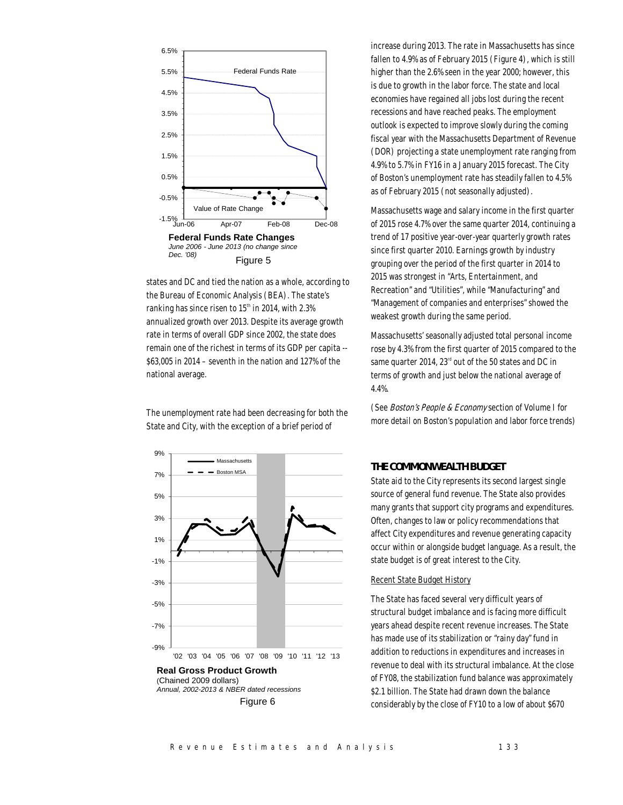

states and DC and tied the nation as a whole, according to the Bureau of Economic Analysis (BEA). The state's ranking has since risen to  $15<sup>th</sup>$  in 2014, with 2.3% annualized growth over 2013. Despite its average growth rate in terms of overall GDP since 2002, the state does remain one of the richest in terms of its GDP per capita --  $$63,005$  in 2014 – seventh in the nation and 127% of the national average.

The unemployment rate had been decreasing for both the State and City, with the exception of a brief period of



increase during 2013. The rate in Massachusetts has since fallen to 4.9% as of February 2015 (Figure 4), which is still higher than the 2.6% seen in the year 2000; however, this is due to growth in the labor force. The state and local economies have regained all jobs lost during the recent recessions and have reached peaks. The employment outlook is expected to improve slowly during the coming fiscal year with the Massachusetts Department of Revenue (DOR) projecting a state unemployment rate ranging from 4.9% to 5.7% in FY16 in a January 2015 forecast. The City of Boston's unemployment rate has steadily fallen to 4.5% as of February 2015 (not seasonally adjusted).

Massachusetts wage and salary income in the first quarter of 2015 rose 4.7% over the same quarter 2014, continuing a trend of 17 positive year-over-year quarterly growth rates since first quarter 2010. Earnings growth by industry grouping over the period of the first quarter in 2014 to 2015 was strongest in "Arts, Entertainment, and Recreation" and "Utilities", while "Manufacturing" and "Management of companies and enterprises" showed the weakest growth during the same period.

Massachusetts' seasonally adjusted total personal income rose by 4.3% from the first quarter of 2015 compared to the same quarter 2014,  $23<sup>rd</sup>$  out of the 50 states and DC in terms of growth and just below the national average of 4.4%.

(See Boston's People & Economy section of Volume I for more detail on Boston's population and labor force trends)

## *THE COMMONWEALTH BUDGET*

State aid to the City represents its second largest single source of general fund revenue. The State also provides many grants that support city programs and expenditures. Often, changes to law or policy recommendations that affect City expenditures and revenue generating capacity occur within or alongside budget language. As a result, the state budget is of great interest to the City.

## Recent State Budget History

The State has faced several very difficult years of structural budget imbalance and is facing more difficult years ahead despite recent revenue increases. The State has made use of its stabilization or "rainy day" fund in addition to reductions in expenditures and increases in revenue to deal with its structural imbalance. At the close of FY08, the stabilization fund balance was approximately \$2.1 billion. The State had drawn down the balance considerably by the close of FY10 to a low of about \$670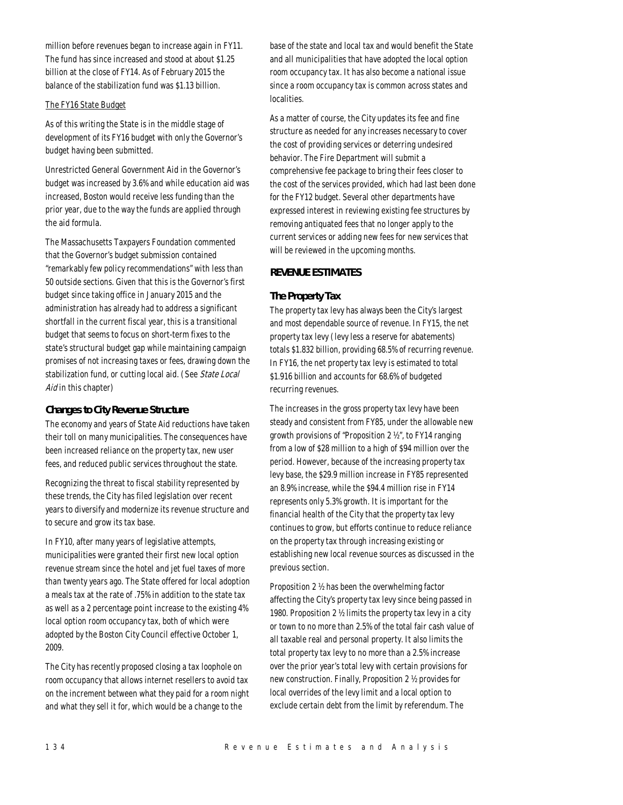million before revenues began to increase again in FY11. The fund has since increased and stood at about \$1.25 billion at the close of FY14. As of February 2015 the balance of the stabilization fund was \$1.13 billion.

## The FY16 State Budget

As of this writing the State is in the middle stage of development of its FY16 budget with only the Governor's budget having been submitted.

Unrestricted General Government Aid in the Governor's budget was increased by 3.6% and while education aid was increased, Boston would receive less funding than the prior year, due to the way the funds are applied through the aid formula.

The Massachusetts Taxpayers Foundation commented that the Governor's budget submission contained "remarkably few policy recommendations" with less than 50 outside sections. Given that this is the Governor's first budget since taking office in January 2015 and the administration has already had to address a significant shortfall in the current fiscal year, this is a transitional budget that seems to focus on short-term fixes to the state's structural budget gap while maintaining campaign promises of not increasing taxes or fees, drawing down the stabilization fund, or cutting local aid. (See State Local Aid in this chapter)

## *Changes to City Revenue Structure*

The economy and years of State Aid reductions have taken their toll on many municipalities. The consequences have been increased reliance on the property tax, new user fees, and reduced public services throughout the state.

Recognizing the threat to fiscal stability represented by these trends, the City has filed legislation over recent years to diversify and modernize its revenue structure and to secure and grow its tax base.

In FY10, after many years of legislative attempts, municipalities were granted their first new local option revenue stream since the hotel and jet fuel taxes of more than twenty years ago. The State offered for local adoption a meals tax at the rate of .75% in addition to the state tax as well as a 2 percentage point increase to the existing 4% local option room occupancy tax, both of which were adopted by the Boston City Council effective October 1, 2009.

The City has recently proposed closing a tax loophole on room occupancy that allows internet resellers to avoid tax on the increment between what they paid for a room night and what they sell it for, which would be a change to the

base of the state and local tax and would benefit the State and all municipalities that have adopted the local option room occupancy tax. It has also become a national issue since a room occupancy tax is common across states and localities.

As a matter of course, the City updates its fee and fine structure as needed for any increases necessary to cover the cost of providing services or deterring undesired behavior. The Fire Department will submit a comprehensive fee package to bring their fees closer to the cost of the services provided, which had last been done for the FY12 budget. Several other departments have expressed interest in reviewing existing fee structures by removing antiquated fees that no longer apply to the current services or adding new fees for new services that will be reviewed in the upcoming months.

## *REVENUE ESTIMATES*

## *The Property Tax*

The property tax levy has always been the City's largest and most dependable source of revenue. In FY15, the net property tax levy (levy less a reserve for abatements) totals \$1.832 billion, providing 68.5% of recurring revenue. In FY16, the net property tax levy is estimated to total \$1.916 billion and accounts for 68.6% of budgeted recurring revenues.

The increases in the gross property tax levy have been steady and consistent from FY85, under the allowable new growth provisions of "Proposition 2 ½", to FY14 ranging from a low of \$28 million to a high of \$94 million over the period. However, because of the increasing property tax levy base, the \$29.9 million increase in FY85 represented an 8.9% increase, while the \$94.4 million rise in FY14 represents only 5.3% growth. It is important for the financial health of the City that the property tax levy continues to grow, but efforts continue to reduce reliance on the property tax through increasing existing or establishing new local revenue sources as discussed in the previous section.

Proposition 2 ½ has been the overwhelming factor affecting the City's property tax levy since being passed in 1980. Proposition 2 ½ limits the property tax levy in a city or town to no more than 2.5% of the total fair cash value of all taxable real and personal property. It also limits the total property tax levy to no more than a 2.5% increase over the prior year's total levy with certain provisions for new construction. Finally, Proposition 2 ½ provides for local overrides of the levy limit and a local option to exclude certain debt from the limit by referendum. The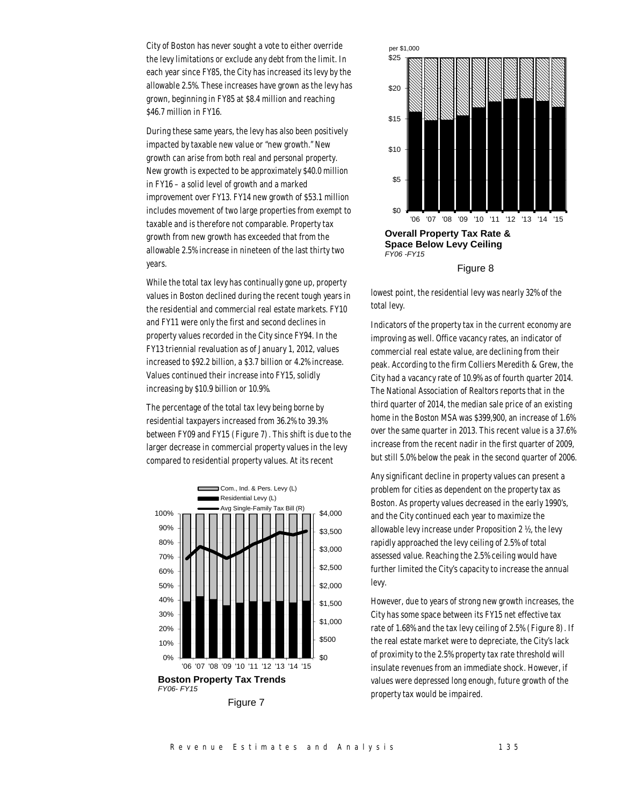City of Boston has never sought a vote to either override the levy limitations or exclude any debt from the limit. In each year since FY85, the City has increased its levy by the allowable 2.5%. These increases have grown as the levy has grown, beginning in FY85 at \$8.4 million and reaching \$46.7 million in FY16.

During these same years, the levy has also been positively impacted by taxable new value or "new growth." New growth can arise from both real and personal property. New growth is expected to be approximately \$40.0 million in FY16 – a solid level of growth and a marked improvement over FY13. FY14 new growth of \$53.1 million includes movement of two large properties from exempt to taxable and is therefore not comparable. Property tax growth from new growth has exceeded that from the allowable 2.5% increase in nineteen of the last thirty two years.

While the total tax levy has continually gone up, property values in Boston declined during the recent tough years in the residential and commercial real estate markets. FY10 and FY11 were only the first and second declines in property values recorded in the City since FY94. In the FY13 triennial revaluation as of January 1, 2012, values increased to \$92.2 billion, a \$3.7 billion or 4.2% increase. Values continued their increase into FY15, solidly increasing by \$10.9 billion or 10.9%.

The percentage of the total tax levy being borne by residential taxpayers increased from 36.2% to 39.3% between FY09 and FY15 (Figure 7). This shift is due to the larger decrease in commercial property values in the levy compared to residential property values. At its recent



Figure 7



Figure 8

lowest point, the residential levy was nearly 32% of the total levy.

Indicators of the property tax in the current economy are improving as well. Office vacancy rates, an indicator of commercial real estate value, are declining from their peak. According to the firm Colliers Meredith & Grew, the City had a vacancy rate of 10.9% as of fourth quarter 2014. The National Association of Realtors reports that in the third quarter of 2014, the median sale price of an existing home in the Boston MSA was \$399,900, an increase of 1.6% over the same quarter in 2013. This recent value is a 37.6% increase from the recent nadir in the first quarter of 2009, but still 5.0% below the peak in the second quarter of 2006.

Any significant decline in property values can present a problem for cities as dependent on the property tax as Boston. As property values decreased in the early 1990's, and the City continued each year to maximize the allowable levy increase under Proposition 2 ½, the levy rapidly approached the levy ceiling of 2.5% of total assessed value. Reaching the 2.5% ceiling would have further limited the City's capacity to increase the annual levy.

However, due to years of strong new growth increases, the City has some space between its FY15 net effective tax rate of 1.68% and the tax levy ceiling of 2.5% (Figure 8). If the real estate market were to depreciate, the City's lack of proximity to the 2.5% property tax rate threshold will insulate revenues from an immediate shock. However, if values were depressed long enough, future growth of the property tax would be impaired.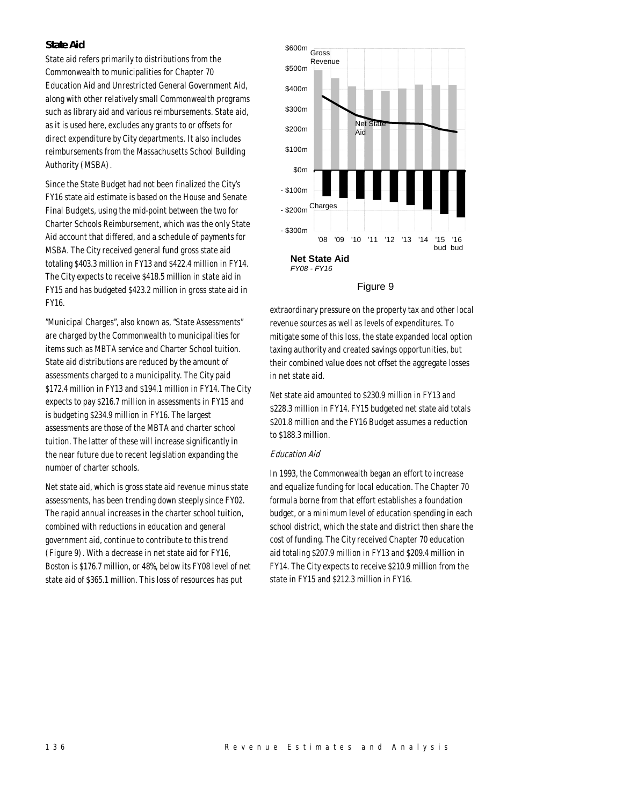## *State Aid*

State aid refers primarily to distributions from the Commonwealth to municipalities for Chapter 70 Education Aid and Unrestricted General Government Aid, along with other relatively small Commonwealth programs such as library aid and various reimbursements. State aid, as it is used here, excludes any grants to or offsets for direct expenditure by City departments. It also includes reimbursements from the Massachusetts School Building Authority (MSBA).

Since the State Budget had not been finalized the City's FY16 state aid estimate is based on the House and Senate Final Budgets, using the mid-point between the two for Charter Schools Reimbursement, which was the only State Aid account that differed, and a schedule of payments for MSBA. The City received general fund gross state aid totaling \$403.3 million in FY13 and \$422.4 million in FY14. The City expects to receive \$418.5 million in state aid in FY15 and has budgeted \$423.2 million in gross state aid in FY16.

"Municipal Charges", also known as, "State Assessments" are charged by the Commonwealth to municipalities for items such as MBTA service and Charter School tuition. State aid distributions are reduced by the amount of assessments charged to a municipality. The City paid \$172.4 million in FY13 and \$194.1 million in FY14. The City expects to pay \$216.7 million in assessments in FY15 and is budgeting \$234.9 million in FY16. The largest assessments are those of the MBTA and charter school tuition. The latter of these will increase significantly in the near future due to recent legislation expanding the number of charter schools.

Net state aid, which is gross state aid revenue minus state assessments, has been trending down steeply since FY02. The rapid annual increases in the charter school tuition, combined with reductions in education and general government aid, continue to contribute to this trend (Figure 9). With a decrease in net state aid for FY16, Boston is \$176.7 million, or 48%, below its FY08 level of net state aid of \$365.1 million. This loss of resources has put



#### Figure 9

extraordinary pressure on the property tax and other local revenue sources as well as levels of expenditures. To mitigate some of this loss, the state expanded local option taxing authority and created savings opportunities, but their combined value does not offset the aggregate losses in net state aid.

Net state aid amounted to \$230.9 million in FY13 and \$228.3 million in FY14. FY15 budgeted net state aid totals \$201.8 million and the FY16 Budget assumes a reduction to \$188.3 million.

## Education Aid

In 1993, the Commonwealth began an effort to increase and equalize funding for local education. The Chapter 70 formula borne from that effort establishes a foundation budget, or a minimum level of education spending in each school district, which the state and district then share the cost of funding. The City received Chapter 70 education aid totaling \$207.9 million in FY13 and \$209.4 million in FY14. The City expects to receive \$210.9 million from the state in FY15 and \$212.3 million in FY16.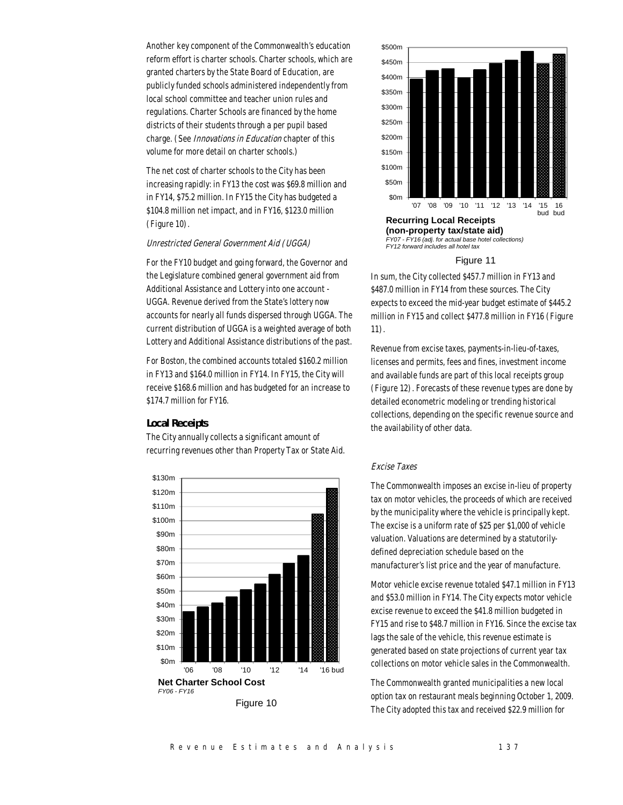Another key component of the Commonwealth's education reform effort is charter schools. Charter schools, which are granted charters by the State Board of Education, are publicly funded schools administered independently from local school committee and teacher union rules and regulations. Charter Schools are financed by the home districts of their students through a per pupil based charge. (See Innovations in Education chapter of this volume for more detail on charter schools.)

The net cost of charter schools to the City has been increasing rapidly: in FY13 the cost was \$69.8 million and in FY14, \$75.2 million. In FY15 the City has budgeted a \$104.8 million net impact, and in FY16, \$123.0 million (Figure 10).

#### Unrestricted General Government Aid (UGGA)

For the FY10 budget and going forward, the Governor and the Legislature combined general government aid from Additional Assistance and Lottery into one account - UGGA. Revenue derived from the State's lottery now accounts for nearly all funds dispersed through UGGA. The current distribution of UGGA is a weighted average of both Lottery and Additional Assistance distributions of the past.

For Boston, the combined accounts totaled \$160.2 million in FY13 and \$164.0 million in FY14. In FY15, the City will receive \$168.6 million and has budgeted for an increase to \$174.7 million for FY16.

#### *Local Receipts*

The City annually collects a significant amount of recurring revenues other than Property Tax or State Aid.





*FY07 - FY16 (adj. for actual base hotel collections) FY12 forward includes all hotel tax*

#### Figure 11

In sum, the City collected \$457.7 million in FY13 and \$487.0 million in FY14 from these sources. The City expects to exceed the mid-year budget estimate of \$445.2 million in FY15 and collect \$477.8 million in FY16 (Figure 11).

Revenue from excise taxes, payments-in-lieu-of-taxes, licenses and permits, fees and fines, investment income and available funds are part of this local receipts group (Figure 12). Forecasts of these revenue types are done by detailed econometric modeling or trending historical collections, depending on the specific revenue source and the availability of other data.

## Excise Taxes

The Commonwealth imposes an excise in-lieu of property tax on motor vehicles, the proceeds of which are received by the municipality where the vehicle is principally kept. The excise is a uniform rate of \$25 per \$1,000 of vehicle valuation. Valuations are determined by a statutorilydefined depreciation schedule based on the manufacturer's list price and the year of manufacture.

Motor vehicle excise revenue totaled \$47.1 million in FY13 and \$53.0 million in FY14. The City expects motor vehicle excise revenue to exceed the \$41.8 million budgeted in FY15 and rise to \$48.7 million in FY16. Since the excise tax lags the sale of the vehicle, this revenue estimate is generated based on state projections of current year tax collections on motor vehicle sales in the Commonwealth.

The Commonwealth granted municipalities a new local option tax on restaurant meals beginning October 1, 2009. The City adopted this tax and received \$22.9 million for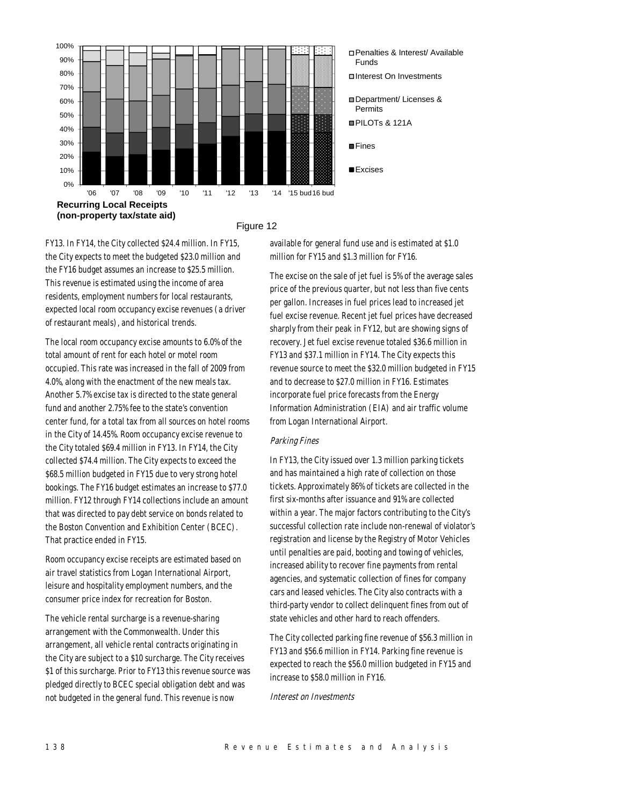

#### Figure 12

FY13. In FY14, the City collected \$24.4 million. In FY15, the City expects to meet the budgeted \$23.0 million and the FY16 budget assumes an increase to \$25.5 million. This revenue is estimated using the income of area residents, employment numbers for local restaurants, expected local room occupancy excise revenues (a driver of restaurant meals), and historical trends.

The local room occupancy excise amounts to 6.0% of the total amount of rent for each hotel or motel room occupied. This rate was increased in the fall of 2009 from 4.0%, along with the enactment of the new meals tax. Another 5.7% excise tax is directed to the state general fund and another 2.75% fee to the state's convention center fund, for a total tax from all sources on hotel rooms in the City of 14.45%. Room occupancy excise revenue to the City totaled \$69.4 million in FY13. In FY14, the City collected \$74.4 million. The City expects to exceed the \$68.5 million budgeted in FY15 due to very strong hotel bookings. The FY16 budget estimates an increase to \$77.0 million. FY12 through FY14 collections include an amount that was directed to pay debt service on bonds related to the Boston Convention and Exhibition Center (BCEC). That practice ended in FY15.

Room occupancy excise receipts are estimated based on air travel statistics from Logan International Airport, leisure and hospitality employment numbers, and the consumer price index for recreation for Boston.

The vehicle rental surcharge is a revenue-sharing arrangement with the Commonwealth. Under this arrangement, all vehicle rental contracts originating in the City are subject to a \$10 surcharge. The City receives \$1 of this surcharge. Prior to FY13 this revenue source was pledged directly to BCEC special obligation debt and was not budgeted in the general fund. This revenue is now

available for general fund use and is estimated at \$1.0 million for FY15 and \$1.3 million for FY16.

The excise on the sale of jet fuel is 5% of the average sales price of the previous quarter, but not less than five cents per gallon. Increases in fuel prices lead to increased jet fuel excise revenue. Recent jet fuel prices have decreased sharply from their peak in FY12, but are showing signs of recovery. Jet fuel excise revenue totaled \$36.6 million in FY13 and \$37.1 million in FY14. The City expects this revenue source to meet the \$32.0 million budgeted in FY15 and to decrease to \$27.0 million in FY16. Estimates incorporate fuel price forecasts from the Energy Information Administration (EIA) and air traffic volume from Logan International Airport.

#### Parking Fines

In FY13, the City issued over 1.3 million parking tickets and has maintained a high rate of collection on those tickets. Approximately 86% of tickets are collected in the first six-months after issuance and 91% are collected within a year. The major factors contributing to the City's successful collection rate include non-renewal of violator's registration and license by the Registry of Motor Vehicles until penalties are paid, booting and towing of vehicles, increased ability to recover fine payments from rental agencies, and systematic collection of fines for company cars and leased vehicles. The City also contracts with a third-party vendor to collect delinquent fines from out of state vehicles and other hard to reach offenders.

The City collected parking fine revenue of \$56.3 million in FY13 and \$56.6 million in FY14. Parking fine revenue is expected to reach the \$56.0 million budgeted in FY15 and increase to \$58.0 million in FY16.

Interest on Investments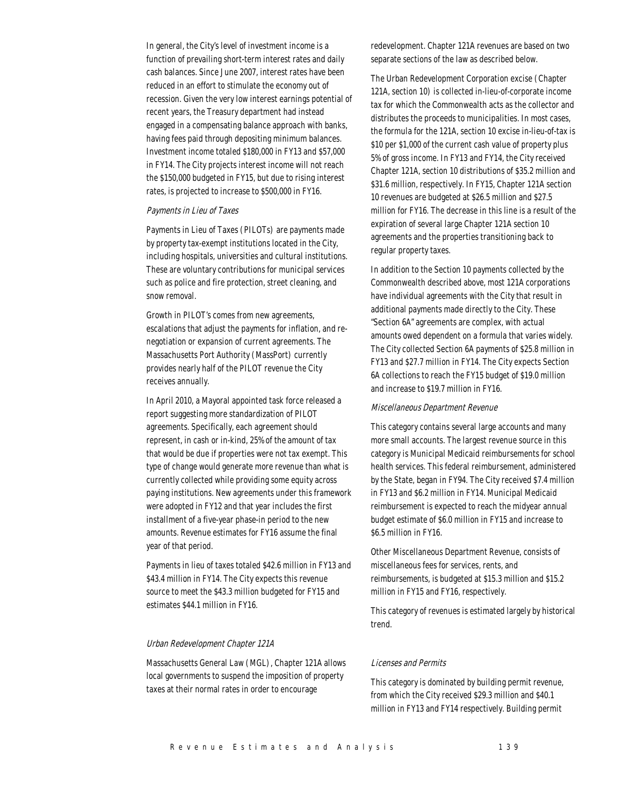In general, the City's level of investment income is a function of prevailing short-term interest rates and daily cash balances. Since June 2007, interest rates have been reduced in an effort to stimulate the economy out of recession. Given the very low interest earnings potential of recent years, the Treasury department had instead engaged in a compensating balance approach with banks, having fees paid through depositing minimum balances. Investment income totaled \$180,000 in FY13 and \$57,000 in FY14. The City projects interest income will not reach the \$150,000 budgeted in FY15, but due to rising interest rates, is projected to increase to \$500,000 in FY16.

#### Payments in Lieu of Taxes

Payments in Lieu of Taxes (PILOTs) are payments made by property tax-exempt institutions located in the City, including hospitals, universities and cultural institutions. These are voluntary contributions for municipal services such as police and fire protection, street cleaning, and snow removal.

Growth in PILOT's comes from new agreements, escalations that adjust the payments for inflation, and renegotiation or expansion of current agreements. The Massachusetts Port Authority (MassPort) currently provides nearly half of the PILOT revenue the City receives annually.

In April 2010, a Mayoral appointed task force released a report suggesting more standardization of PILOT agreements. Specifically, each agreement should represent, in cash or in-kind, 25% of the amount of tax that would be due if properties were not tax exempt. This type of change would generate more revenue than what is currently collected while providing some equity across paying institutions. New agreements under this framework were adopted in FY12 and that year includes the first installment of a five-year phase-in period to the new amounts. Revenue estimates for FY16 assume the final year of that period.

Payments in lieu of taxes totaled \$42.6 million in FY13 and \$43.4 million in FY14. The City expects this revenue source to meet the \$43.3 million budgeted for FY15 and estimates \$44.1 million in FY16.

## Urban Redevelopment Chapter 121A

Massachusetts General Law (MGL), Chapter 121A allows local governments to suspend the imposition of property taxes at their normal rates in order to encourage

redevelopment. Chapter 121A revenues are based on two separate sections of the law as described below.

The Urban Redevelopment Corporation excise (Chapter 121A, section 10) is collected in-lieu-of-corporate income tax for which the Commonwealth acts as the collector and distributes the proceeds to municipalities. In most cases, the formula for the 121A, section 10 excise in-lieu-of-tax is \$10 per \$1,000 of the current cash value of property plus 5% of gross income. In FY13 and FY14, the City received Chapter 121A, section 10 distributions of \$35.2 million and \$31.6 million, respectively. In FY15, Chapter 121A section 10 revenues are budgeted at \$26.5 million and \$27.5 million for FY16. The decrease in this line is a result of the expiration of several large Chapter 121A section 10 agreements and the properties transitioning back to regular property taxes.

In addition to the Section 10 payments collected by the Commonwealth described above, most 121A corporations have individual agreements with the City that result in additional payments made directly to the City. These "Section 6A" agreements are complex, with actual amounts owed dependent on a formula that varies widely. The City collected Section 6A payments of \$25.8 million in FY13 and \$27.7 million in FY14. The City expects Section 6A collections to reach the FY15 budget of \$19.0 million and increase to \$19.7 million in FY16.

#### Miscellaneous Department Revenue

This category contains several large accounts and many more small accounts. The largest revenue source in this category is Municipal Medicaid reimbursements for school health services. This federal reimbursement, administered by the State, began in FY94. The City received \$7.4 million in FY13 and \$6.2 million in FY14. Municipal Medicaid reimbursement is expected to reach the midyear annual budget estimate of \$6.0 million in FY15 and increase to \$6.5 million in FY16.

Other Miscellaneous Department Revenue, consists of miscellaneous fees for services, rents, and reimbursements, is budgeted at \$15.3 million and \$15.2 million in FY15 and FY16, respectively.

This category of revenues is estimated largely by historical trend.

#### Licenses and Permits

This category is dominated by building permit revenue, from which the City received \$29.3 million and \$40.1 million in FY13 and FY14 respectively. Building permit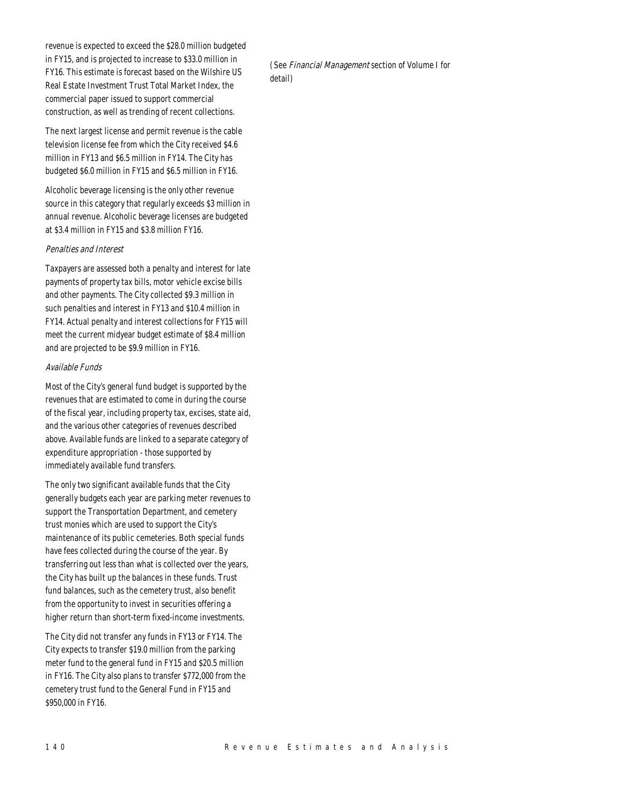revenue is expected to exceed the \$28.0 million budgeted in FY15, and is projected to increase to \$33.0 million in FY16. This estimate is forecast based on the Wilshire US Real Estate Investment Trust Total Market Index, the commercial paper issued to support commercial construction, as well as trending of recent collections.

The next largest license and permit revenue is the cable television license fee from which the City received \$4.6 million in FY13 and \$6.5 million in FY14. The City has budgeted \$6.0 million in FY15 and \$6.5 million in FY16.

Alcoholic beverage licensing is the only other revenue source in this category that regularly exceeds \$3 million in annual revenue. Alcoholic beverage licenses are budgeted at \$3.4 million in FY15 and \$3.8 million FY16.

## Penalties and Interest

Taxpayers are assessed both a penalty and interest for late payments of property tax bills, motor vehicle excise bills and other payments. The City collected \$9.3 million in such penalties and interest in FY13 and \$10.4 million in FY14. Actual penalty and interest collections for FY15 will meet the current midyear budget estimate of \$8.4 million and are projected to be \$9.9 million in FY16.

## Available Funds

Most of the City's general fund budget is supported by the revenues that are estimated to come in during the course of the fiscal year, including property tax, excises, state aid, and the various other categories of revenues described above. Available funds are linked to a separate category of expenditure appropriation - those supported by immediately available fund transfers.

The only two significant available funds that the City generally budgets each year are parking meter revenues to support the Transportation Department, and cemetery trust monies which are used to support the City's maintenance of its public cemeteries. Both special funds have fees collected during the course of the year. By transferring out less than what is collected over the years, the City has built up the balances in these funds. Trust fund balances, such as the cemetery trust, also benefit from the opportunity to invest in securities offering a higher return than short-term fixed-income investments.

The City did not transfer any funds in FY13 or FY14. The City expects to transfer \$19.0 million from the parking meter fund to the general fund in FY15 and \$20.5 million in FY16. The City also plans to transfer \$772,000 from the cemetery trust fund to the General Fund in FY15 and \$950,000 in FY16.

(See Financial Management section of Volume I for detail)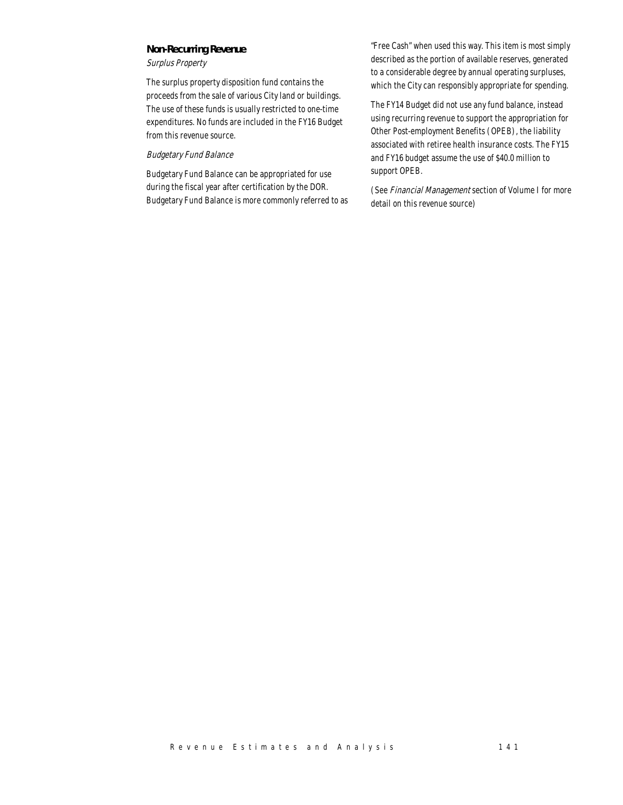## *Non-Recurring Revenue*

Surplus Property

The surplus property disposition fund contains the proceeds from the sale of various City land or buildings. The use of these funds is usually restricted to one-time expenditures. No funds are included in the FY16 Budget from this revenue source.

## Budgetary Fund Balance

Budgetary Fund Balance can be appropriated for use during the fiscal year after certification by the DOR. Budgetary Fund Balance is more commonly referred to as "Free Cash" when used this way. This item is most simply described as the portion of available reserves, generated to a considerable degree by annual operating surpluses, which the City can responsibly appropriate for spending.

The FY14 Budget did not use any fund balance, instead using recurring revenue to support the appropriation for Other Post-employment Benefits (OPEB), the liability associated with retiree health insurance costs. The FY15 and FY16 budget assume the use of \$40.0 million to support OPEB.

(See Financial Management section of Volume I for more detail on this revenue source)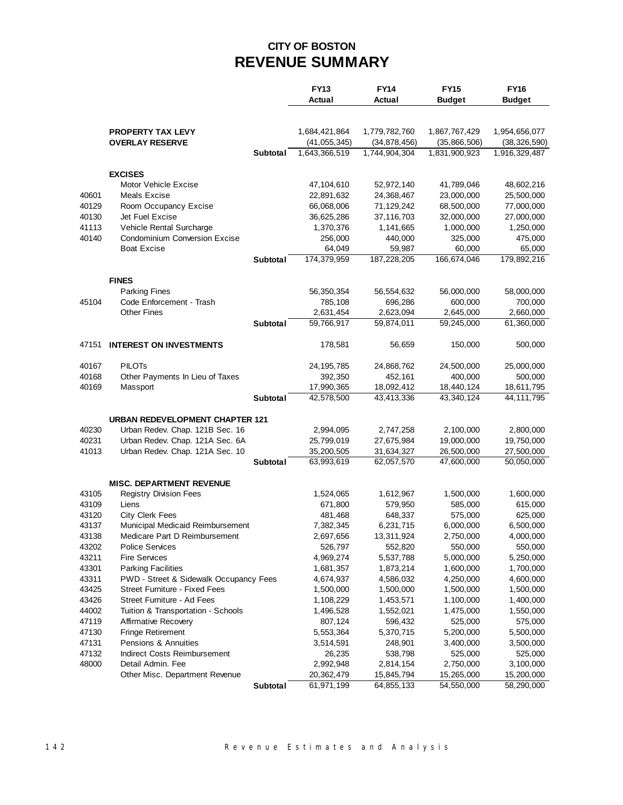## **CITY OF BOSTON REVENUE SUMMARY**

|                |                                                                    |                 | <b>FY13</b><br>Actual  | <b>FY14</b><br>Actual | <b>FY15</b><br><b>Budget</b> | <b>FY16</b><br><b>Budget</b> |
|----------------|--------------------------------------------------------------------|-----------------|------------------------|-----------------------|------------------------------|------------------------------|
|                |                                                                    |                 |                        |                       |                              |                              |
|                | <b>PROPERTY TAX LEVY</b>                                           |                 | 1,684,421,864          | 1,779,782,760         | 1,867,767,429                | 1,954,656,077                |
|                | <b>OVERLAY RESERVE</b>                                             |                 | (41, 055, 345)         | (34, 878, 456)        | (35,866,506)                 | (38, 326, 590)               |
|                |                                                                    | Subtotal        | 1,643,366,519          | 1,744,904,304         | 1,831,900,923                | 1,916,329,487                |
|                | <b>EXCISES</b>                                                     |                 |                        |                       |                              |                              |
|                | Motor Vehicle Excise                                               |                 | 47,104,610             | 52,972,140            | 41,789,046                   | 48,602,216                   |
| 40601          | Meals Excise                                                       |                 | 22,891,632             | 24,368,467            | 23,000,000                   | 25,500,000                   |
| 40129          | Room Occupancy Excise                                              |                 | 66,068,006             | 71,129,242            | 68,500,000                   | 77,000,000                   |
| 40130          | Jet Fuel Excise                                                    |                 | 36,625,286             | 37,116,703            | 32,000,000                   | 27,000,000                   |
| 41113          | Vehicle Rental Surcharge                                           |                 | 1,370,376              | 1,141,665             | 1,000,000                    | 1,250,000                    |
| 40140          | <b>Condominium Conversion Excise</b>                               |                 | 256,000                | 440,000               | 325,000                      | 475,000                      |
|                | <b>Boat Excise</b>                                                 |                 | 64,049                 | 59,987                | 60,000                       | 65,000                       |
|                |                                                                    | <b>Subtotal</b> | 174,379,959            | 187,228,205           | 166,674,046                  | 179,892,216                  |
|                | <b>FINES</b>                                                       |                 |                        |                       |                              |                              |
|                | <b>Parking Fines</b>                                               |                 | 56,350,354             | 56,554,632            | 56,000,000                   | 58,000,000                   |
| 45104          | Code Enforcement - Trash                                           |                 | 785,108                | 696,286               | 600,000                      | 700,000                      |
|                | <b>Other Fines</b>                                                 |                 | 2,631,454              | 2,623,094             | 2,645,000                    | 2,660,000                    |
|                |                                                                    | Subtotal        | 59,766,917             | 59,874,011            | 59,245,000                   | 61,360,000                   |
| 47151          | <b>INTEREST ON INVESTMENTS</b>                                     |                 | 178,581                | 56,659                | 150,000                      | 500,000                      |
| 40167          | <b>PILOTS</b>                                                      |                 | 24, 195, 785           | 24,868,762            | 24,500,000                   | 25,000,000                   |
| 40168          | Other Payments In Lieu of Taxes                                    |                 | 392,350                | 452,161               | 400,000                      | 500,000                      |
| 40169          | Massport                                                           |                 | 17,990,365             | 18,092,412            | 18,440,124                   | 18,611,795                   |
|                |                                                                    | Subtotal        | 42,578,500             | 43,413,336            | 43,340,124                   | 44, 111, 795                 |
|                | <b>URBAN REDEVELOPMENT CHAPTER 121</b>                             |                 |                        |                       |                              |                              |
| 40230          | Urban Redev. Chap. 121B Sec. 16                                    |                 | 2,994,095              | 2,747,258             | 2,100,000                    | 2,800,000                    |
| 40231          | Urban Redev. Chap. 121A Sec. 6A                                    |                 | 25,799,019             | 27,675,984            | 19,000,000                   | 19,750,000                   |
| 41013          | Urban Redev. Chap. 121A Sec. 10                                    |                 | 35,200,505             | 31,634,327            | 26,500,000                   | 27,500,000                   |
|                |                                                                    | Subtotal        | 63,993,619             | 62,057,570            | 47,600,000                   | 50,050,000                   |
|                | <b>MISC. DEPARTMENT REVENUE</b>                                    |                 |                        |                       |                              |                              |
| 43105          | <b>Registry Division Fees</b>                                      |                 | 1,524,065              | 1,612,967             | 1,500,000                    | 1,600,000                    |
| 43109          | Liens                                                              |                 | 671,800                | 579,950               | 585,000                      | 615,000                      |
| 43120          | <b>City Clerk Fees</b>                                             |                 | 481,468                | 648,337               | 575,000                      | 625,000                      |
| 43137          | Municipal Medicaid Reimbursement                                   |                 | 7,382,345              | 6,231,715             | 6,000,000                    | 6,500,000                    |
| 43138          | Medicare Part D Reimbursement                                      |                 | 2,697,656              | 13,311,924            | 2,750,000                    | 4,000,000                    |
| 43202          | <b>Police Services</b>                                             |                 | 526,797                | 552,820               | 550,000                      | 550,000                      |
| 43211          | <b>Fire Services</b>                                               |                 | 4,969,274              | 5,537,788             | 5,000,000                    | 5,250,000                    |
| 43301          | <b>Parking Facilities</b>                                          |                 | 1,681,357              | 1,873,214             | 1,600,000                    | 1,700,000                    |
| 43311          | PWD - Street & Sidewalk Occupancy Fees                             |                 | 4,674,937              | 4,586,032             | 4,250,000                    | 4,600,000                    |
| 43425          | <b>Street Furniture - Fixed Fees</b><br>Street Furniture - Ad Fees |                 | 1,500,000              | 1,500,000             | 1,500,000                    | 1,500,000                    |
| 43426          |                                                                    |                 | 1,108,229<br>1,496,528 | 1,453,571             | 1,100,000                    | 1,400,000                    |
| 44002<br>47119 | Tuition & Transportation - Schools<br>Affirmative Recovery         |                 | 807,124                | 1,552,021<br>596,432  | 1,475,000<br>525,000         | 1,550,000<br>575,000         |
| 47130          | <b>Fringe Retirement</b>                                           |                 | 5,553,364              | 5,370,715             | 5,200,000                    | 5,500,000                    |
| 47131          | Pensions & Annuities                                               |                 | 3,514,591              | 248,901               | 3,400,000                    | 3,500,000                    |
| 47132          | Indirect Costs Reimbursement                                       |                 | 26,235                 | 538,798               | 525,000                      | 525,000                      |
| 48000          | Detail Admin. Fee                                                  |                 | 2,992,948              | 2,814,154             | 2,750,000                    | 3,100,000                    |
|                | Other Misc. Department Revenue                                     |                 | 20,362,479             | 15,845,794            | 15,265,000                   | 15,200,000                   |
|                |                                                                    | Subtotal        | 61,971,199             | 64,855,133            | 54,550,000                   | 58,290,000                   |